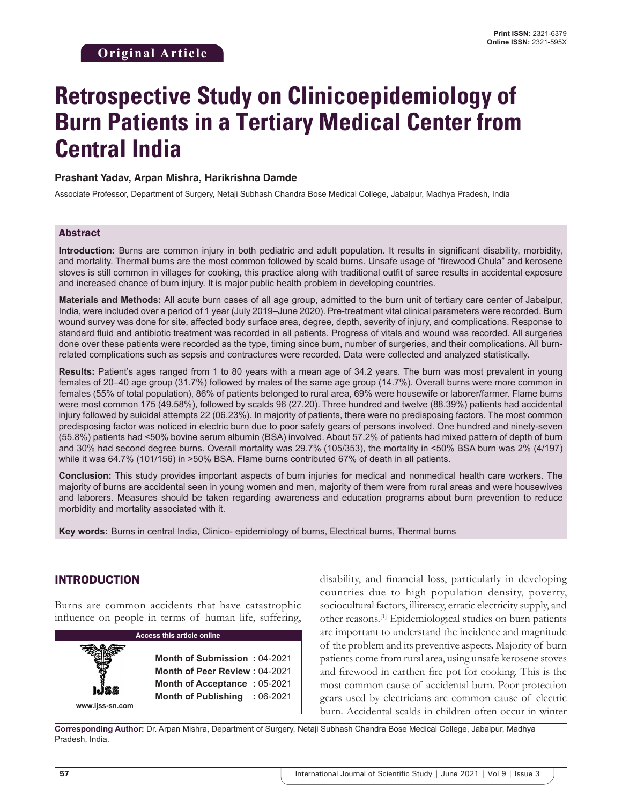# **Retrospective Study on Clinicoepidemiology of Burn Patients in a Tertiary Medical Center from Central India**

### **Prashant Yadav, Arpan Mishra, Harikrishna Damde**

Associate Professor, Department of Surgery, Netaji Subhash Chandra Bose Medical College, Jabalpur, Madhya Pradesh, India

#### Abstract

**Introduction:** Burns are common injury in both pediatric and adult population. It results in significant disability, morbidity, and mortality. Thermal burns are the most common followed by scald burns. Unsafe usage of "firewood Chula" and kerosene stoves is still common in villages for cooking, this practice along with traditional outfit of saree results in accidental exposure and increased chance of burn injury. It is major public health problem in developing countries.

**Materials and Methods:** All acute burn cases of all age group, admitted to the burn unit of tertiary care center of Jabalpur, India, were included over a period of 1 year (July 2019–June 2020). Pre-treatment vital clinical parameters were recorded. Burn wound survey was done for site, affected body surface area, degree, depth, severity of injury, and complications. Response to standard fluid and antibiotic treatment was recorded in all patients. Progress of vitals and wound was recorded. All surgeries done over these patients were recorded as the type, timing since burn, number of surgeries, and their complications. All burnrelated complications such as sepsis and contractures were recorded. Data were collected and analyzed statistically.

**Results:** Patient's ages ranged from 1 to 80 years with a mean age of 34.2 years. The burn was most prevalent in young females of 20–40 age group (31.7%) followed by males of the same age group (14.7%). Overall burns were more common in females (55% of total population), 86% of patients belonged to rural area, 69% were housewife or laborer/farmer. Flame burns were most common 175 (49.58%), followed by scalds 96 (27.20). Three hundred and twelve (88.39%) patients had accidental injury followed by suicidal attempts 22 (06.23%). In majority of patients, there were no predisposing factors. The most common predisposing factor was noticed in electric burn due to poor safety gears of persons involved. One hundred and ninety-seven (55.8%) patients had <50% bovine serum albumin (BSA) involved. About 57.2% of patients had mixed pattern of depth of burn and 30% had second degree burns. Overall mortality was 29.7% (105/353), the mortality in <50% BSA burn was 2% (4/197) while it was 64.7% (101/156) in >50% BSA. Flame burns contributed 67% of death in all patients.

**Conclusion:** This study provides important aspects of burn injuries for medical and nonmedical health care workers. The majority of burns are accidental seen in young women and men, majority of them were from rural areas and were housewives and laborers. Measures should be taken regarding awareness and education programs about burn prevention to reduce morbidity and mortality associated with it.

**Key words:**  Burns in central India, Clinico- epidemiology of burns, Electrical burns, Thermal burns

## INTRODUCTION

Burns are common accidents that have catastrophic influence on people in terms of human life, suffering,



disability, and financial loss, particularly in developing countries due to high population density, poverty, sociocultural factors, illiteracy, erratic electricity supply, and other reasons.[1] Epidemiological studies on burn patients are important to understand the incidence and magnitude of the problem and its preventive aspects. Majority of burn patients come from rural area, using unsafe kerosene stoves and firewood in earthen fire pot for cooking. This is the most common cause of accidental burn. Poor protection gears used by electricians are common cause of electric burn. Accidental scalds in children often occur in winter

**Corresponding Author:** Dr. Arpan Mishra, Department of Surgery, Netaji Subhash Chandra Bose Medical College, Jabalpur, Madhya Pradesh, India.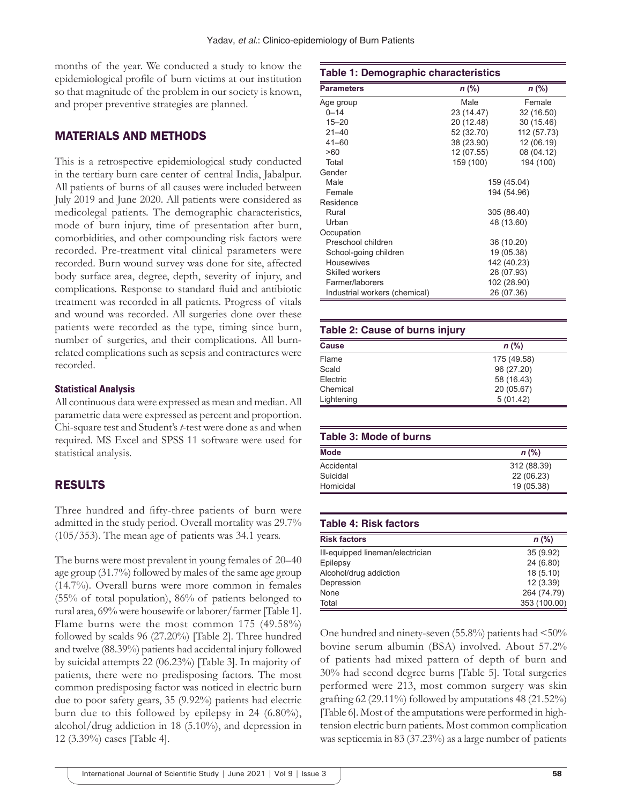months of the year. We conducted a study to know the epidemiological profile of burn victims at our institution so that magnitude of the problem in our society is known, and proper preventive strategies are planned.

# MATERIALS AND METHODS

This is a retrospective epidemiological study conducted in the tertiary burn care center of central India, Jabalpur. All patients of burns of all causes were included between July 2019 and June 2020. All patients were considered as medicolegal patients. The demographic characteristics, mode of burn injury, time of presentation after burn, comorbidities, and other compounding risk factors were recorded. Pre-treatment vital clinical parameters were recorded. Burn wound survey was done for site, affected body surface area, degree, depth, severity of injury, and complications. Response to standard fluid and antibiotic treatment was recorded in all patients. Progress of vitals and wound was recorded. All surgeries done over these patients were recorded as the type, timing since burn, number of surgeries, and their complications. All burnrelated complications such as sepsis and contractures were recorded.

## **Statistical Analysis**

All continuous data were expressed as mean and median. All parametric data were expressed as percent and proportion. Chi-square test and Student's *t*-test were done as and when required. MS Excel and SPSS 11 software were used for statistical analysis.

# RESULTS

Three hundred and fifty-three patients of burn were admitted in the study period. Overall mortality was 29.7% (105/353). The mean age of patients was 34.1 years.

The burns were most prevalent in young females of 20–40 age group (31.7%) followed by males of the same age group (14.7%). Overall burns were more common in females (55% of total population), 86% of patients belonged to rural area, 69% were housewife or laborer/farmer [Table 1]. Flame burns were the most common 175 (49.58%) followed by scalds 96 (27.20%) [Table 2]. Three hundred and twelve (88.39%) patients had accidental injury followed by suicidal attempts 22 (06.23%) [Table 3]. In majority of patients, there were no predisposing factors. The most common predisposing factor was noticed in electric burn due to poor safety gears, 35 (9.92%) patients had electric burn due to this followed by epilepsy in 24 (6.80%), alcohol/drug addiction in 18 (5.10%), and depression in 12 (3.39%) cases [Table 4].

| Table 1: Demographic characteristics |             |             |
|--------------------------------------|-------------|-------------|
| <b>Parameters</b>                    | n (%)       | n (%)       |
| Age group                            | Male        | Female      |
| $0 - 14$                             | 23 (14.47)  | 32 (16.50)  |
| $15 - 20$                            | 20 (12.48)  | 30 (15.46)  |
| $21 - 40$                            | 52 (32.70)  | 112 (57.73) |
| $41 - 60$                            | 38 (23.90)  | 12 (06.19)  |
| >60                                  | 12 (07.55)  | 08 (04.12)  |
| Total                                | 159 (100)   | 194 (100)   |
| Gender                               |             |             |
| Male                                 | 159 (45.04) |             |
| Female                               | 194 (54.96) |             |
| Residence                            |             |             |
| Rural                                | 305 (86.40) |             |
| Urban                                | 48 (13.60)  |             |
| Occupation                           |             |             |
| Preschool children                   | 36 (10.20)  |             |
| School-going children                | 19 (05.38)  |             |
| <b>Housewives</b>                    | 142 (40.23) |             |
| Skilled workers                      | 28 (07.93)  |             |
| Farmer/laborers                      | 102 (28.90) |             |
| Industrial workers (chemical)        |             | 26 (07.36)  |

## **Table 2: Cause of burns injury**

| <b>Cause</b> | $n$ (%)     |
|--------------|-------------|
| Flame        | 175 (49.58) |
| Scald        | 96 (27.20)  |
| Electric     | 58 (16.43)  |
| Chemical     | 20 (05.67)  |
| Lightening   | 5(01.42)    |

| Table 3: Mode of burns |             |  |
|------------------------|-------------|--|
| <b>Mode</b>            | $n$ (%)     |  |
| Accidental             | 312 (88.39) |  |
| Suicidal               | 22 (06.23)  |  |
| Homicidal              | 19 (05.38)  |  |

#### **Table 4: Risk factors**

| <b>Risk factors</b>              | $n$ (%)      |
|----------------------------------|--------------|
| Ill-equipped lineman/electrician | 35(9.92)     |
| Epilepsy                         | 24 (6.80)    |
| Alcohol/drug addiction           | 18(5.10)     |
| Depression                       | 12(3.39)     |
| None                             | 264 (74.79)  |
| Total                            | 353 (100.00) |

One hundred and ninety-seven  $(55.8\%)$  patients had  $\leq 50\%$ bovine serum albumin (BSA) involved. About 57.2% of patients had mixed pattern of depth of burn and 30% had second degree burns [Table 5]. Total surgeries performed were 213, most common surgery was skin grafting  $62$  (29.11%) followed by amputations  $48$  (21.52%) [Table 6]. Most of the amputations were performed in hightension electric burn patients. Most common complication was septicemia in 83 (37.23%) as a large number of patients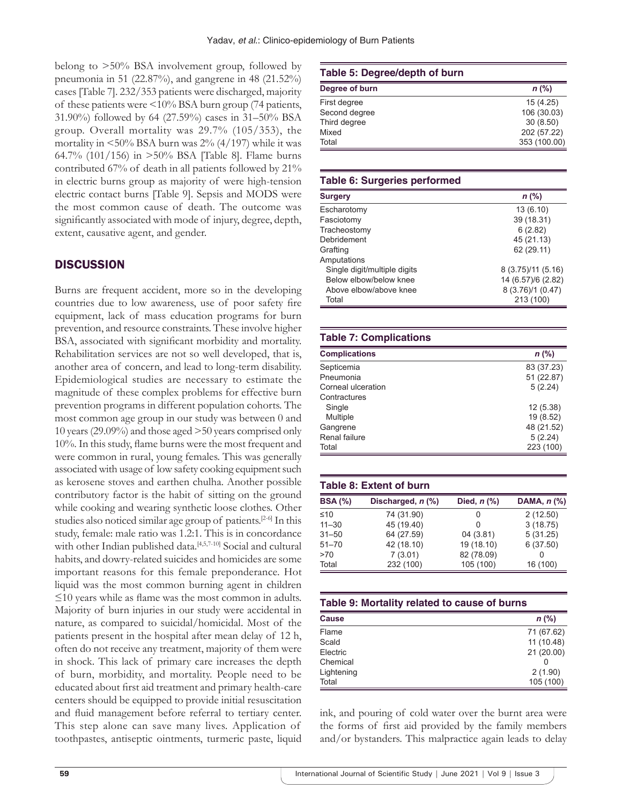belong to >50% BSA involvement group, followed by pneumonia in 51 (22.87%), and gangrene in 48 (21.52%) cases [Table 7]. 232/353 patients were discharged, majority of these patients were <10% BSA burn group (74 patients, 31.90%) followed by 64 (27.59%) cases in 31–50% BSA group. Overall mortality was 29.7% (105/353), the mortality in  $\leq$ 50% BSA burn was 2% (4/197) while it was 64.7% (101/156) in >50% BSA [Table 8]. Flame burns contributed 67% of death in all patients followed by 21% in electric burns group as majority of were high-tension electric contact burns [Table 9]. Sepsis and MODS were the most common cause of death. The outcome was significantly associated with mode of injury, degree, depth, extent, causative agent, and gender.

## **DISCUSSION**

Burns are frequent accident, more so in the developing countries due to low awareness, use of poor safety fire equipment, lack of mass education programs for burn prevention, and resource constraints. These involve higher BSA, associated with significant morbidity and mortality. Rehabilitation services are not so well developed, that is, another area of concern, and lead to long-term disability. Epidemiological studies are necessary to estimate the magnitude of these complex problems for effective burn prevention programs in different population cohorts. The most common age group in our study was between 0 and 10 years (29.09%) and those aged >50 years comprised only 10%. In this study, flame burns were the most frequent and were common in rural, young females. This was generally associated with usage of low safety cooking equipment such as kerosene stoves and earthen chulha. Another possible contributory factor is the habit of sitting on the ground while cooking and wearing synthetic loose clothes. Other studies also noticed similar age group of patients.[2-6] In this study, female: male ratio was 1.2:1. This is in concordance with other Indian published data.<sup>[4,5,7-10]</sup> Social and cultural habits, and dowry-related suicides and homicides are some important reasons for this female preponderance. Hot liquid was the most common burning agent in children ≤10 years while as flame was the most common in adults. Majority of burn injuries in our study were accidental in nature, as compared to suicidal/homicidal. Most of the patients present in the hospital after mean delay of 12 h, often do not receive any treatment, majority of them were in shock. This lack of primary care increases the depth of burn, morbidity, and mortality. People need to be educated about first aid treatment and primary health-care centers should be equipped to provide initial resuscitation and fluid management before referral to tertiary center. This step alone can save many lives. Application of toothpastes, antiseptic ointments, turmeric paste, liquid

#### **Table 5: Degree/depth of burn**

| Degree of burn | $n$ (%)      |
|----------------|--------------|
| First degree   | 15(4.25)     |
| Second degree  | 106 (30.03)  |
| Third degree   | 30(8.50)     |
| Mixed          | 202 (57.22)  |
| Total          | 353 (100.00) |

#### **Table 6: Surgeries performed**

| Surgery                      | $n$ (%)            |
|------------------------------|--------------------|
| Escharotomy                  | 13(6.10)           |
| Fasciotomy                   | 39 (18.31)         |
| Tracheostomy                 | 6(2.82)            |
| Debridement                  | 45 (21.13)         |
| Grafting                     | 62 (29.11)         |
| Amputations                  |                    |
| Single digit/multiple digits | 8 (3.75)/11 (5.16) |
| Below elbow/below knee       | 14 (6.57)/6 (2.82) |
| Above elbow/above knee       | 8 (3.76)/1 (0.47)  |
| Total                        | 213 (100)          |

#### **Table 7: Complications**

| <b>Complications</b> | $n$ (%)    |
|----------------------|------------|
| Septicemia           | 83 (37.23) |
| Pneumonia            | 51 (22.87) |
| Corneal ulceration   | 5(2.24)    |
| Contractures         |            |
| Single               | 12(5.38)   |
| Multiple             | 19 (8.52)  |
| Gangrene             | 48 (21.52) |
| Renal failure        | 5(2.24)    |
| Total                | 223 (100)  |

## **Table 8: Extent of burn BSA (%) Discharged,** *n* **(%) Died,** *n* **(%) DAMA,** *n* **(%)**  $≤10$  74 (31.90) 0 2 (12.50)<br>11–30 45 (19.40) 0 3 (18.75) 11–30 45 (19.40) 0 3 (18.75)<br>31–50 64 (27.59) 04 (3.81) 5 (31.25) 31–50 64 (27.59) 04 (3.81) 5 (31.25) 51–70 42 (18.10) 19 (18.10) 6 (37.50) >70 7 (3.01) 82 (78.09) 0

Total 232 (100) 105 (100) 16 (100)

| Table 9: Mortality related to cause of burns |            |  |
|----------------------------------------------|------------|--|
| Cause                                        | $n$ (%)    |  |
| Flame                                        | 71 (67.62) |  |
| Scald                                        | 11 (10.48) |  |
| <b>Flectric</b>                              | 21(20.00)  |  |
| Chemical                                     |            |  |
| Lightening                                   | 2(1.90)    |  |
| Total                                        | 105 (100)  |  |

ink, and pouring of cold water over the burnt area were the forms of first aid provided by the family members and/or bystanders. This malpractice again leads to delay